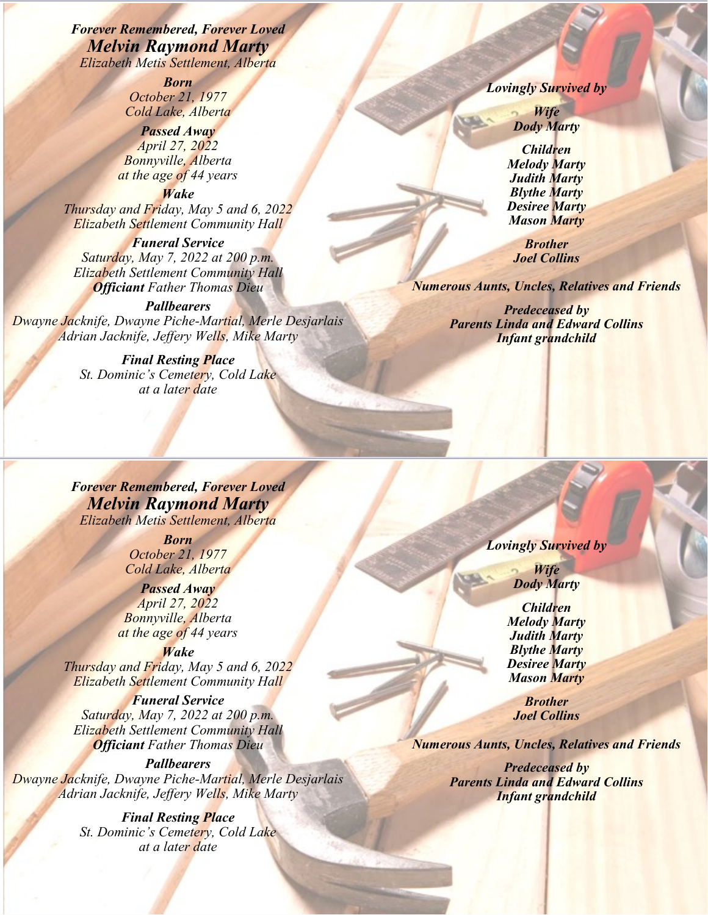*Forever Remembered, Forever Loved Melvin Raymond Marty Elizabeth Metis Settlement, Alberta*

> *Born October 21, 1977 Cold Lake, Alberta*

*Passed Away April 27, 2022 Bonnyville, Alberta at the age of 44 years*

*Wake Thursday and Friday, May 5 and 6, 2022 Elizabeth Settlement Community Hall*

*Funeral Service Saturday, May 7, 2022 at 200 p.m. Elizabeth Settlement Community Hall Officiant Father Thomas Dieu*

*Pallbearers Dwayne Jacknife, Dwayne Piche-Martial, Merle Desjarlais Adrian Jacknife, Jeffery Wells, Mike Marty*

> *Final Resting Place St. Dominic's Cemetery, Cold Lake at a later date*

*Lovingly Survived by*

*Wife Dody Marty*

*Children Melody Marty Judith Marty Blythe Marty Desiree Marty Mason Marty*

*Brother Joel Collins*

*Numerous Aunts, Uncles, Relatives and Friends*

*Predeceased by Parents Linda and Edward Collins Infant grandchild*

*Forever Remembered, Forever Loved Melvin Raymond Marty Elizabeth Metis Settlement, Alberta*

> *Born October 21, 1977 Cold Lake, Alberta*

*Passed Away April 27, 2022 Bonnyville, Alberta at the age of 44 years*

*Wake Thursday and Friday, May 5 and 6, 2022 Elizabeth Settlement Community Hall*

*Funeral Service Saturday, May 7, 2022 at 200 p.m. Elizabeth Settlement Community Hall Officiant Father Thomas Dieu*

## *Pallbearers*

*Dwayne Jacknife, Dwayne Piche-Martial, Merle Desjarlais Adrian Jacknife, Jeffery Wells, Mike Marty*

> *Final Resting Place St. Dominic's Cemetery, Cold Lake at a later date*

*Lovingly Survived by*

*Wife Dody Marty*

*Children Melody Marty Judith Marty Blythe Marty Desiree Marty Mason Marty*

*Brother Joel Collins*

*Numerous Aunts, Uncles, Relatives and Friends*

*Predeceased by Parents Linda and Edward Collins Infant grandchild*